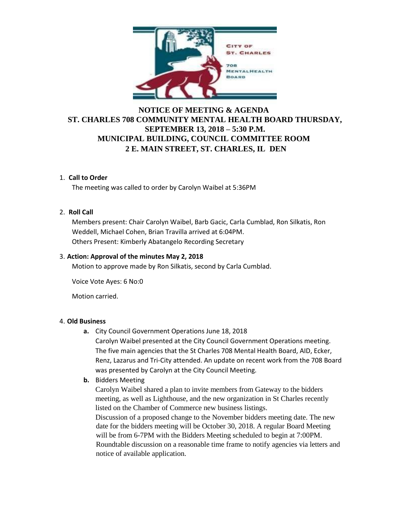

# **NOTICE OF MEETING & AGENDA ST. CHARLES 708 COMMUNITY MENTAL HEALTH BOARD THURSDAY, SEPTEMBER 13, 2018 – 5:30 P.M. MUNICIPAL BUILDING, COUNCIL COMMITTEE ROOM 2 E. MAIN STREET, ST. CHARLES, IL DEN**

## 1. **Call to Order**

The meeting was called to order by Carolyn Waibel at 5:36PM

### 2. **Roll Call**

Members present: Chair Carolyn Waibel, Barb Gacic, Carla Cumblad, Ron Silkatis, Ron Weddell, Michael Cohen, Brian Travilla arrived at 6:04PM. Others Present: Kimberly Abatangelo Recording Secretary

### 3. **Action: Approval of the minutes May 2, 2018**

Motion to approve made by Ron Silkatis, second by Carla Cumblad.

Voice Vote Ayes: 6 No:0

Motion carried.

### 4. **Old Business**

**a.** City Council Government Operations June 18, 2018

Carolyn Waibel presented at the City Council Government Operations meeting. The five main agencies that the St Charles 708 Mental Health Board, AID, Ecker, Renz, Lazarus and Tri-City attended. An update on recent work from the 708 Board was presented by Carolyn at the City Council Meeting.

**b.** Bidders Meeting

Carolyn Waibel shared a plan to invite members from Gateway to the bidders meeting, as well as Lighthouse, and the new organization in St Charles recently listed on the Chamber of Commerce new business listings. Discussion of a proposed change to the November bidders meeting date. The new

date for the bidders meeting will be October 30, 2018. A regular Board Meeting will be from 6-7PM with the Bidders Meeting scheduled to begin at 7:00PM. Roundtable discussion on a reasonable time frame to notify agencies via letters and notice of available application.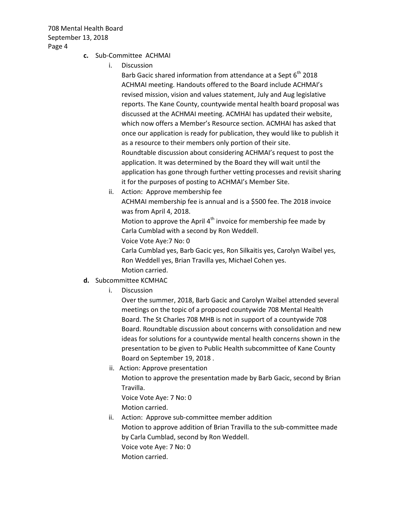708 Mental Health Board September 13, 2018 Page 4

- **c.** Sub-Committee ACHMAI
	- i. Discussion

Barb Gacic shared information from attendance at a Sept  $6<sup>th</sup>$  2018 ACHMAI meeting. Handouts offered to the Board include ACHMAI's revised mission, vision and values statement, July and Aug legislative reports. The Kane County, countywide mental health board proposal was discussed at the ACHMAI meeting. ACMHAI has updated their website, which now offers a Member's Resource section. ACMHAI has asked that once our application is ready for publication, they would like to publish it as a resource to their members only portion of their site. Roundtable discussion about considering ACHMAI's request to post the application. It was determined by the Board they will wait until the application has gone through further vetting processes and revisit sharing it for the purposes of posting to ACHMAI's Member Site.

ii. Action: Approve membership fee ACHMAI membership fee is annual and is a \$500 fee. The 2018 invoice was from April 4, 2018.

Motion to approve the April  $4<sup>th</sup>$  invoice for membership fee made by Carla Cumblad with a second by Ron Weddell.

Voice Vote Aye:7 No: 0

Carla Cumblad yes, Barb Gacic yes, Ron Silkaitis yes, Carolyn Waibel yes, Ron Weddell yes, Brian Travilla yes, Michael Cohen yes. Motion carried.

- **d.** Subcommittee KCMHAC
	- i. Discussion

Over the summer, 2018, Barb Gacic and Carolyn Waibel attended several meetings on the topic of a proposed countywide 708 Mental Health Board. The St Charles 708 MHB is not in support of a countywide 708 Board. Roundtable discussion about concerns with consolidation and new ideas for solutions for a countywide mental health concerns shown in the presentation to be given to Public Health subcommittee of Kane County Board on September 19, 2018 .

- ii. Action: Approve presentation Motion to approve the presentation made by Barb Gacic, second by Brian Travilla. Voice Vote Aye: 7 No: 0 Motion carried.
- ii. Action: Approve sub-committee member addition Motion to approve addition of Brian Travilla to the sub-committee made by Carla Cumblad, second by Ron Weddell. Voice vote Aye: 7 No: 0 Motion carried.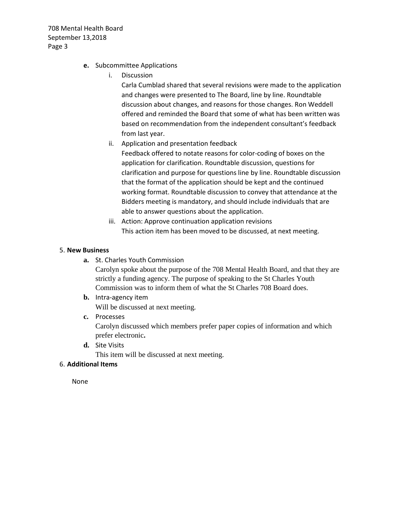708 Mental Health Board September 13,2018 Page 3

- **e.** Subcommittee Applications
	- i. Discussion

Carla Cumblad shared that several revisions were made to the application and changes were presented to The Board, line by line. Roundtable discussion about changes, and reasons for those changes. Ron Weddell offered and reminded the Board that some of what has been written was based on recommendation from the independent consultant's feedback from last year.

ii. Application and presentation feedback

Feedback offered to notate reasons for color-coding of boxes on the application for clarification. Roundtable discussion, questions for clarification and purpose for questions line by line. Roundtable discussion that the format of the application should be kept and the continued working format. Roundtable discussion to convey that attendance at the Bidders meeting is mandatory, and should include individuals that are able to answer questions about the application.

iii. Action: Approve continuation application revisions This action item has been moved to be discussed, at next meeting.

### 5. **New Business**

**a.** St. Charles Youth Commission

Carolyn spoke about the purpose of the 708 Mental Health Board, and that they are strictly a funding agency. The purpose of speaking to the St Charles Youth Commission was to inform them of what the St Charles 708 Board does.

**b.** Intra-agency item

Will be discussed at next meeting.

**c.** Processes

Carolyn discussed which members prefer paper copies of information and which prefer electronic**.** 

**d.** Site Visits

This item will be discussed at next meeting.

### 6. **Additional Items**

None